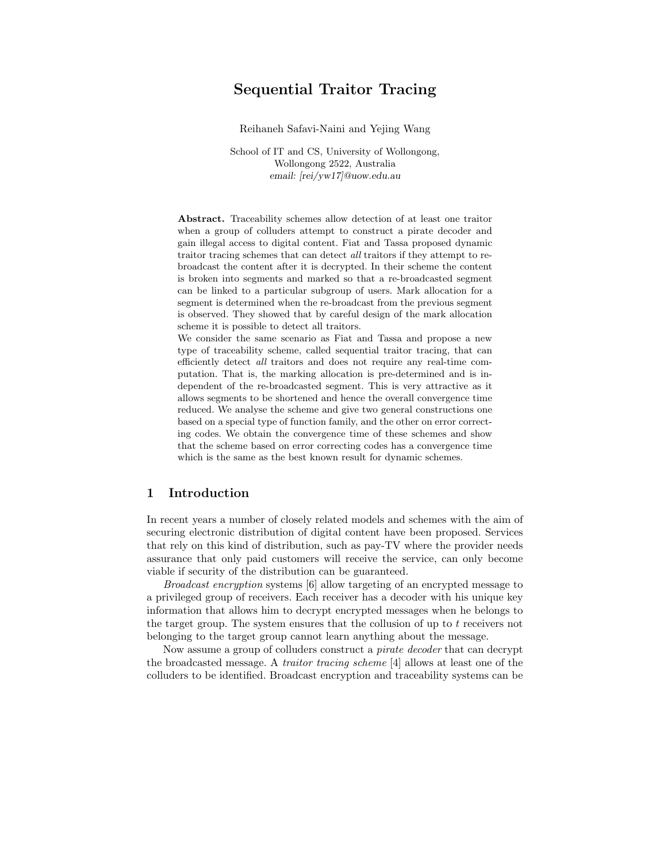# Sequential Traitor Tracing

Reihaneh Safavi-Naini and Yejing Wang

School of IT and CS, University of Wollongong, Wollongong 2522, Australia email: [rei/yw17]@uow.edu.au

Abstract. Traceability schemes allow detection of at least one traitor when a group of colluders attempt to construct a pirate decoder and gain illegal access to digital content. Fiat and Tassa proposed dynamic traitor tracing schemes that can detect all traitors if they attempt to rebroadcast the content after it is decrypted. In their scheme the content is broken into segments and marked so that a re-broadcasted segment can be linked to a particular subgroup of users. Mark allocation for a segment is determined when the re-broadcast from the previous segment is observed. They showed that by careful design of the mark allocation scheme it is possible to detect all traitors.

We consider the same scenario as Fiat and Tassa and propose a new type of traceability scheme, called sequential traitor tracing, that can efficiently detect all traitors and does not require any real-time computation. That is, the marking allocation is pre-determined and is independent of the re-broadcasted segment. This is very attractive as it allows segments to be shortened and hence the overall convergence time reduced. We analyse the scheme and give two general constructions one based on a special type of function family, and the other on error correcting codes. We obtain the convergence time of these schemes and show that the scheme based on error correcting codes has a convergence time which is the same as the best known result for dynamic schemes.

# 1 Introduction

In recent years a number of closely related models and schemes with the aim of securing electronic distribution of digital content have been proposed. Services that rely on this kind of distribution, such as pay-TV where the provider needs assurance that only paid customers will receive the service, can only become viable if security of the distribution can be guaranteed.

Broadcast encryption systems [6] allow targeting of an encrypted message to a privileged group of receivers. Each receiver has a decoder with his unique key information that allows him to decrypt encrypted messages when he belongs to the target group. The system ensures that the collusion of up to  $t$  receivers not belonging to the target group cannot learn anything about the message.

Now assume a group of colluders construct a pirate decoder that can decrypt the broadcasted message. A traitor tracing scheme [4] allows at least one of the colluders to be identified. Broadcast encryption and traceability systems can be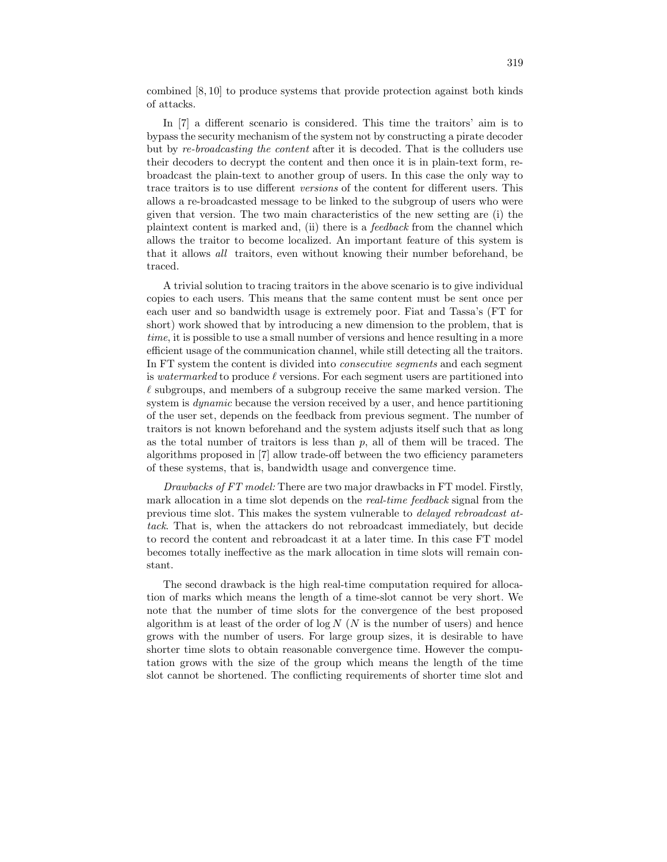combined [8, 10] to produce systems that provide protection against both kinds of attacks.

In [7] a different scenario is considered. This time the traitors' aim is to bypass the security mechanism of the system not by constructing a pirate decoder but by re-broadcasting the content after it is decoded. That is the colluders use their decoders to decrypt the content and then once it is in plain-text form, rebroadcast the plain-text to another group of users. In this case the only way to trace traitors is to use different versions of the content for different users. This allows a re-broadcasted message to be linked to the subgroup of users who were given that version. The two main characteristics of the new setting are (i) the plaintext content is marked and, (ii) there is a feedback from the channel which allows the traitor to become localized. An important feature of this system is that it allows all traitors, even without knowing their number beforehand, be traced.

A trivial solution to tracing traitors in the above scenario is to give individual copies to each users. This means that the same content must be sent once per each user and so bandwidth usage is extremely poor. Fiat and Tassa's (FT for short) work showed that by introducing a new dimension to the problem, that is time, it is possible to use a small number of versions and hence resulting in a more efficient usage of the communication channel, while still detecting all the traitors. In FT system the content is divided into consecutive segments and each segment is watermarked to produce  $\ell$  versions. For each segment users are partitioned into  $\ell$  subgroups, and members of a subgroup receive the same marked version. The system is *dynamic* because the version received by a user, and hence partitioning of the user set, depends on the feedback from previous segment. The number of traitors is not known beforehand and the system adjusts itself such that as long as the total number of traitors is less than  $p$ , all of them will be traced. The algorithms proposed in [7] allow trade-off between the two efficiency parameters of these systems, that is, bandwidth usage and convergence time.

Drawbacks of FT model: There are two major drawbacks in FT model. Firstly, mark allocation in a time slot depends on the *real-time feedback* signal from the previous time slot. This makes the system vulnerable to delayed rebroadcast attack. That is, when the attackers do not rebroadcast immediately, but decide to record the content and rebroadcast it at a later time. In this case FT model becomes totally ineffective as the mark allocation in time slots will remain constant.

The second drawback is the high real-time computation required for allocation of marks which means the length of a time-slot cannot be very short. We note that the number of time slots for the convergence of the best proposed algorithm is at least of the order of  $\log N$  (N is the number of users) and hence grows with the number of users. For large group sizes, it is desirable to have shorter time slots to obtain reasonable convergence time. However the computation grows with the size of the group which means the length of the time slot cannot be shortened. The conflicting requirements of shorter time slot and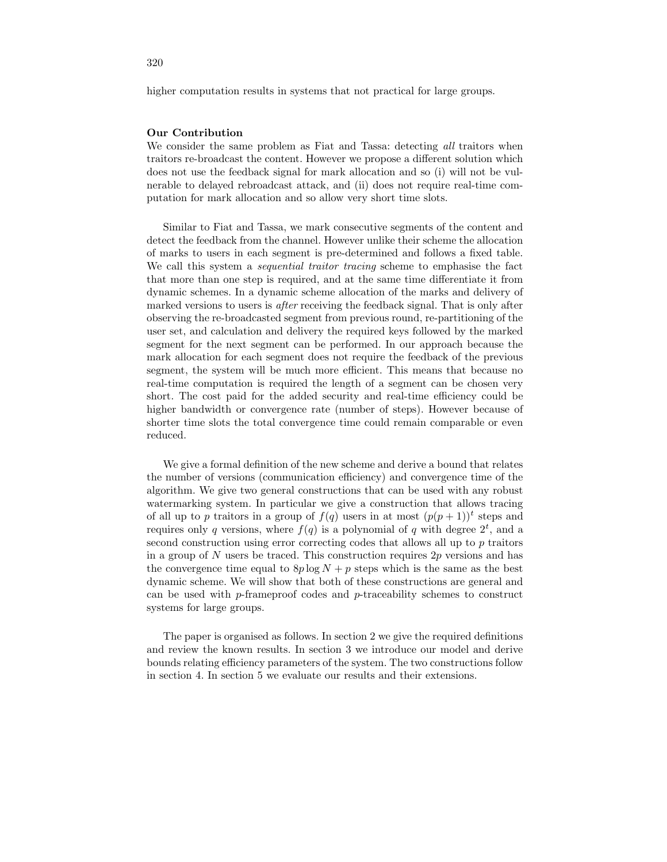higher computation results in systems that not practical for large groups.

## Our Contribution

We consider the same problem as Fiat and Tassa: detecting all traitors when traitors re-broadcast the content. However we propose a different solution which does not use the feedback signal for mark allocation and so (i) will not be vulnerable to delayed rebroadcast attack, and (ii) does not require real-time computation for mark allocation and so allow very short time slots.

Similar to Fiat and Tassa, we mark consecutive segments of the content and detect the feedback from the channel. However unlike their scheme the allocation of marks to users in each segment is pre-determined and follows a fixed table. We call this system a sequential traitor tracing scheme to emphasise the fact that more than one step is required, and at the same time differentiate it from dynamic schemes. In a dynamic scheme allocation of the marks and delivery of marked versions to users is after receiving the feedback signal. That is only after observing the re-broadcasted segment from previous round, re-partitioning of the user set, and calculation and delivery the required keys followed by the marked segment for the next segment can be performed. In our approach because the mark allocation for each segment does not require the feedback of the previous segment, the system will be much more efficient. This means that because no real-time computation is required the length of a segment can be chosen very short. The cost paid for the added security and real-time efficiency could be higher bandwidth or convergence rate (number of steps). However because of shorter time slots the total convergence time could remain comparable or even reduced.

We give a formal definition of the new scheme and derive a bound that relates the number of versions (communication efficiency) and convergence time of the algorithm. We give two general constructions that can be used with any robust watermarking system. In particular we give a construction that allows tracing of all up to p traitors in a group of  $f(q)$  users in at most  $(p(p + 1))$ <sup>t</sup> steps and requires only q versions, where  $f(q)$  is a polynomial of q with degree  $2^t$ , and a second construction using error correcting codes that allows all up to p traitors in a group of  $N$  users be traced. This construction requires  $2p$  versions and has the convergence time equal to  $8p \log N + p$  steps which is the same as the best dynamic scheme. We will show that both of these constructions are general and can be used with  $p$ -frameproof codes and  $p$ -traceability schemes to construct systems for large groups.

The paper is organised as follows. In section 2 we give the required definitions and review the known results. In section 3 we introduce our model and derive bounds relating efficiency parameters of the system. The two constructions follow in section 4. In section 5 we evaluate our results and their extensions.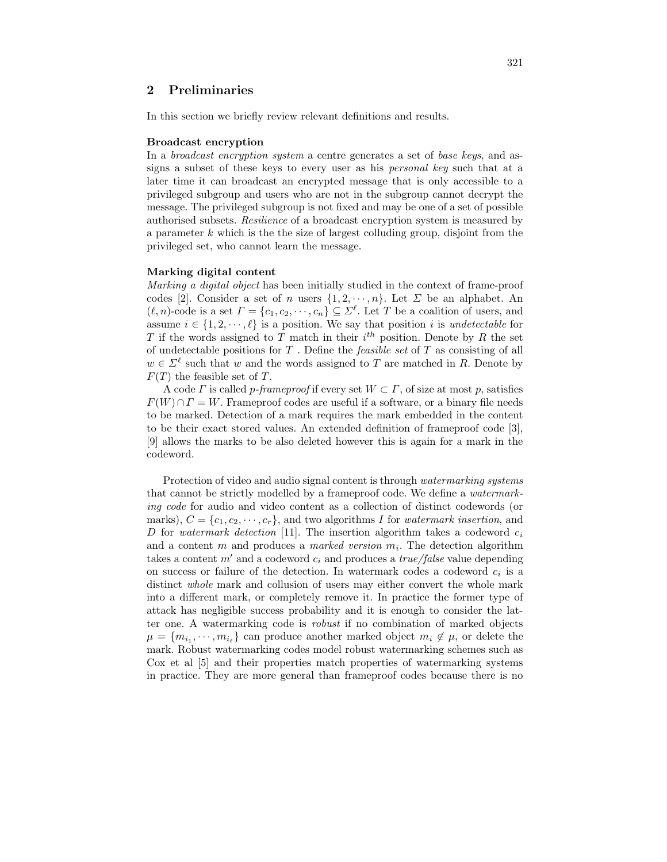## 2 Preliminaries

In this section we briefly review relevant definitions and results.

## Broadcast encryption

In a *broadcast encryption system* a centre generates a set of *base keys*, and assigns a subset of these keys to every user as his personal key such that at a later time it can broadcast an encrypted message that is only accessible to a privileged subgroup and users who are not in the subgroup cannot decrypt the message. The privileged subgroup is not fixed and may be one of a set of possible authorised subsets. Resilience of a broadcast encryption system is measured by a parameter  $k$  which is the the size of largest colluding group, disjoint from the privileged set, who cannot learn the message.

#### Marking digital content

Marking a digital object has been initially studied in the context of frame-proof codes [2]. Consider a set of n users  $\{1, 2, \dots, n\}$ . Let  $\Sigma$  be an alphabet. An  $(\ell, n)$ -code is a set  $\Gamma = \{c_1, c_2, \cdots, c_n\} \subseteq \Sigma^{\ell}$ . Let T be a coalition of users, and assume  $i \in \{1, 2, \dots, \ell\}$  is a position. We say that position i is undetectable for T if the words assigned to T match in their  $i^{th}$  position. Denote by R the set of undetectable positions for  $T$ . Define the *feasible set* of  $T$  as consisting of all  $w \in \Sigma^{\ell}$  such that w and the words assigned to T are matched in R. Denote by  $F(T)$  the feasible set of T.

A code  $\Gamma$  is called p-frameproof if every set  $W \subset \Gamma$ , of size at most p, satisfies  $F(W) \cap \Gamma = W$ . Frameproof codes are useful if a software, or a binary file needs to be marked. Detection of a mark requires the mark embedded in the content to be their exact stored values. An extended definition of frameproof code [3], [9] allows the marks to be also deleted however this is again for a mark in the codeword.

Protection of video and audio signal content is through watermarking systems that cannot be strictly modelled by a frameproof code. We define a watermarking code for audio and video content as a collection of distinct codewords (or marks),  $C = \{c_1, c_2, \dots, c_r\}$ , and two algorithms I for *watermark insertion*, and D for watermark detection [11]. The insertion algorithm takes a codeword  $c_i$ and a content m and produces a *marked version*  $m_i$ . The detection algorithm takes a content  $m'$  and a codeword  $c_i$  and produces a true/false value depending on success or failure of the detection. In watermark codes a codeword  $c_i$  is a distinct *whole* mark and collusion of users may either convert the whole mark into a different mark, or completely remove it. In practice the former type of attack has negligible success probability and it is enough to consider the latter one. A watermarking code is robust if no combination of marked objects  $\mu = \{m_{i_1}, \dots, m_{i_\ell}\}\$ can produce another marked object  $m_i \notin \mu$ , or delete the mark. Robust watermarking codes model robust watermarking schemes such as Cox et al [5] and their properties match properties of watermarking systems in practice. They are more general than frameproof codes because there is no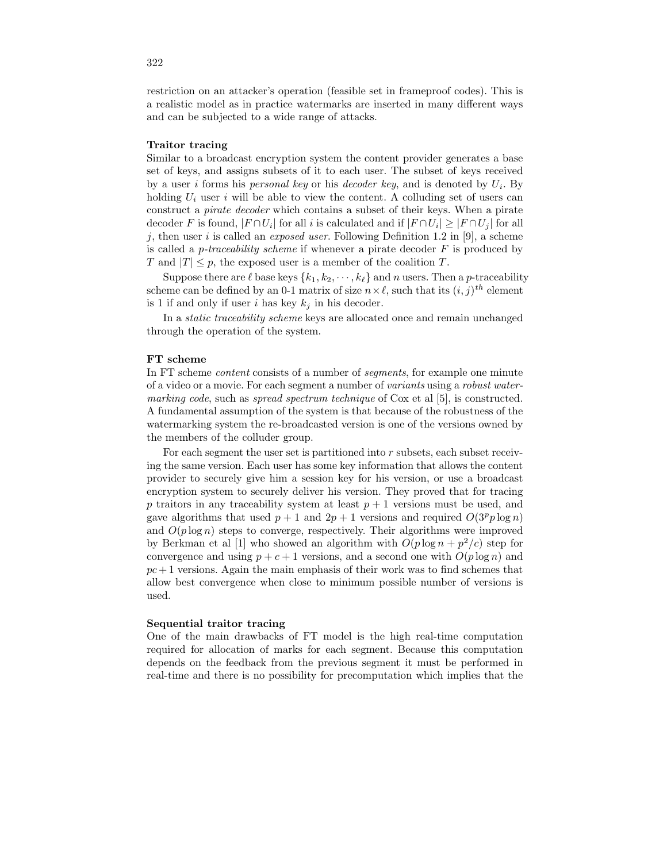restriction on an attacker's operation (feasible set in frameproof codes). This is a realistic model as in practice watermarks are inserted in many different ways and can be subjected to a wide range of attacks.

#### Traitor tracing

Similar to a broadcast encryption system the content provider generates a base set of keys, and assigns subsets of it to each user. The subset of keys received by a user i forms his *personal key* or his *decoder key*, and is denoted by  $U_i$ . By holding  $U_i$  user i will be able to view the content. A colluding set of users can construct a pirate decoder which contains a subset of their keys. When a pirate decoder F is found,  $|F \cap U_i|$  for all i is calculated and if  $|F \cap U_i| \geq |F \cap U_j|$  for all j, then user i is called an *exposed user*. Following Definition 1.2 in [9], a scheme is called a *p*-traceability scheme if whenever a pirate decoder  $F$  is produced by T and  $|T| \leq p$ , the exposed user is a member of the coalition T.

Suppose there are  $\ell$  base keys  $\{k_1, k_2, \dots, k_{\ell}\}\$  and n users. Then a p-traceability scheme can be defined by an 0-1 matrix of size  $n \times \ell$ , such that its  $(i, j)^{th}$  element is 1 if and only if user i has key  $k_j$  in his decoder.

In a static traceability scheme keys are allocated once and remain unchanged through the operation of the system.

## FT scheme

In FT scheme content consists of a number of segments, for example one minute of a video or a movie. For each segment a number of variants using a robust watermarking code, such as *spread spectrum technique* of Cox et al [5], is constructed. A fundamental assumption of the system is that because of the robustness of the watermarking system the re-broadcasted version is one of the versions owned by the members of the colluder group.

For each segment the user set is partitioned into  $r$  subsets, each subset receiving the same version. Each user has some key information that allows the content provider to securely give him a session key for his version, or use a broadcast encryption system to securely deliver his version. They proved that for tracing p traitors in any traceability system at least  $p + 1$  versions must be used, and gave algorithms that used  $p + 1$  and  $2p + 1$  versions and required  $O(3^p p \log n)$ and  $O(p \log n)$  steps to converge, respectively. Their algorithms were improved by Berkman et al [1] who showed an algorithm with  $O(p \log n + p^2/c)$  step for convergence and using  $p + c + 1$  versions, and a second one with  $O(p \log n)$  and  $pc + 1$  versions. Again the main emphasis of their work was to find schemes that allow best convergence when close to minimum possible number of versions is used.

## Sequential traitor tracing

One of the main drawbacks of FT model is the high real-time computation required for allocation of marks for each segment. Because this computation depends on the feedback from the previous segment it must be performed in real-time and there is no possibility for precomputation which implies that the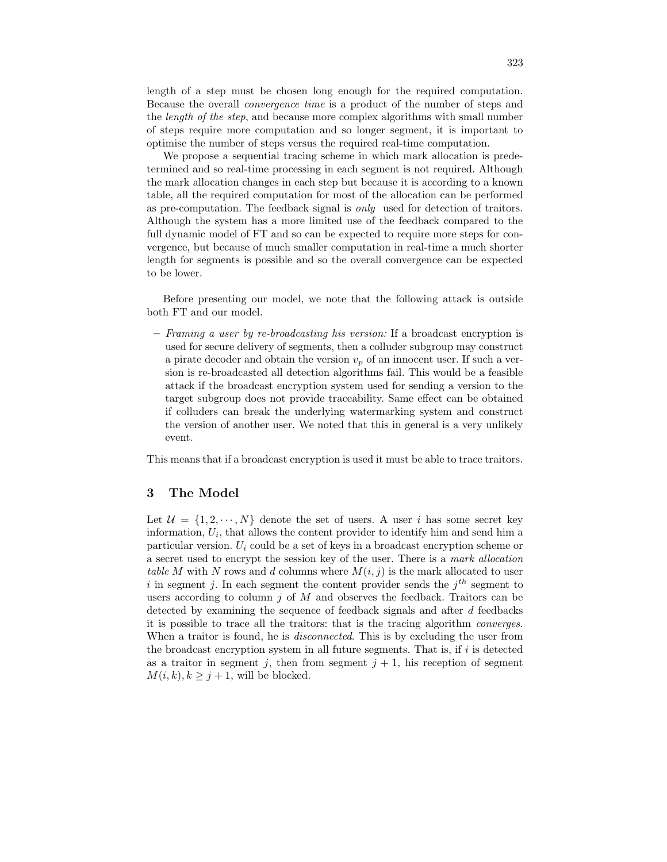length of a step must be chosen long enough for the required computation. Because the overall convergence time is a product of the number of steps and the length of the step, and because more complex algorithms with small number of steps require more computation and so longer segment, it is important to optimise the number of steps versus the required real-time computation.

We propose a sequential tracing scheme in which mark allocation is predetermined and so real-time processing in each segment is not required. Although the mark allocation changes in each step but because it is according to a known table, all the required computation for most of the allocation can be performed as pre-computation. The feedback signal is only used for detection of traitors. Although the system has a more limited use of the feedback compared to the full dynamic model of FT and so can be expected to require more steps for convergence, but because of much smaller computation in real-time a much shorter length for segments is possible and so the overall convergence can be expected to be lower.

Before presenting our model, we note that the following attack is outside both FT and our model.

– Framing a user by re-broadcasting his version: If a broadcast encryption is used for secure delivery of segments, then a colluder subgroup may construct a pirate decoder and obtain the version  $v_p$  of an innocent user. If such a version is re-broadcasted all detection algorithms fail. This would be a feasible attack if the broadcast encryption system used for sending a version to the target subgroup does not provide traceability. Same effect can be obtained if colluders can break the underlying watermarking system and construct the version of another user. We noted that this in general is a very unlikely event.

This means that if a broadcast encryption is used it must be able to trace traitors.

# 3 The Model

Let  $\mathcal{U} = \{1, 2, \dots, N\}$  denote the set of users. A user i has some secret key information,  $U_i$ , that allows the content provider to identify him and send him a particular version.  $U_i$  could be a set of keys in a broadcast encryption scheme or a secret used to encrypt the session key of the user. There is a mark allocation table M with N rows and d columns where  $M(i, j)$  is the mark allocated to user i in segment j. In each segment the content provider sends the  $j<sup>th</sup>$  segment to users according to column  $j$  of  $M$  and observes the feedback. Traitors can be detected by examining the sequence of feedback signals and after d feedbacks it is possible to trace all the traitors: that is the tracing algorithm converges. When a traitor is found, he is *disconnected*. This is by excluding the user from the broadcast encryption system in all future segments. That is, if  $i$  is detected as a traitor in segment j, then from segment  $j + 1$ , his reception of segment  $M(i, k), k \geq j + 1$ , will be blocked.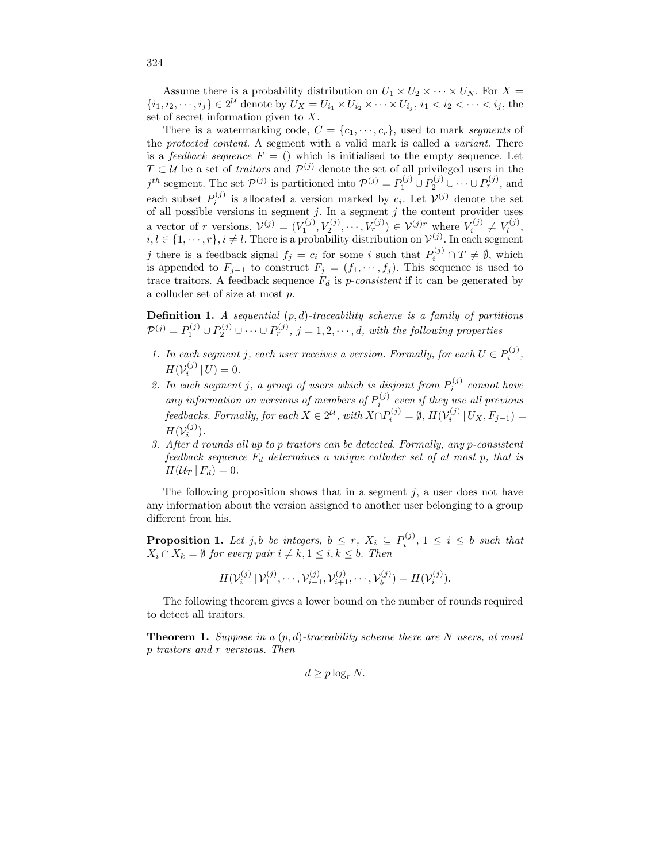Assume there is a probability distribution on  $U_1 \times U_2 \times \cdots \times U_N$ . For  $X =$  $\{i_1, i_2, \dots, i_j\} \in 2^{\mathcal{U}}$  denote by  $U_X = U_{i_1} \times U_{i_2} \times \dots \times U_{i_j}$ ,  $i_1 < i_2 < \dots < i_j$ , the set of secret information given to X.

There is a watermarking code,  $C = \{c_1, \dots, c_r\}$ , used to mark segments of the protected content. A segment with a valid mark is called a variant. There is a feedback sequence  $F = ()$  which is initialised to the empty sequence. Let  $T \subset \mathcal{U}$  be a set of *traitors* and  $\mathcal{P}^{(j)}$  denote the set of all privileged users in the  $j^{th}$  segment. The set  $\mathcal{P}^{(j)}$  is partitioned into  $\mathcal{P}^{(j)} = P_1^{(j)} \cup P_2^{(j)} \cup \cdots \cup P_r^{(j)}$ , and each subset  $P_i^{(j)}$  is allocated a version marked by  $c_i$ . Let  $V^{(j)}$  denote the set of all possible versions in segment  $j$ . In a segment  $j$  the content provider uses a vector of r versions,  $V^{(j)} = (V_1^{(j)}, V_2^{(j)}, \cdots, V_r^{(j)}) \in V^{(j)r}$  where  $V_i^{(j)} \neq V_l^{(j)}$  $\frac{d}{dt}$ ,  $i, l \in \{1, \dots, r\}, i \neq l$ . There is a probability distribution on  $\mathcal{V}^{(j)}$ . In each segment j there is a feedback signal  $f_j = c_i$  for some i such that  $P_i^{(j)} \cap T \neq \emptyset$ , which is appended to  $F_{j-1}$  to construct  $F_j = (f_1, \dots, f_j)$ . This sequence is used to trace traitors. A feedback sequence  $F_d$  is *p-consistent* if it can be generated by a colluder set of size at most p.

**Definition 1.** A sequential  $(p, d)$ -traceability scheme is a family of partitions  $\mathcal{P}^{(j)} = P_1^{(j)} \cup P_2^{(j)} \cup \cdots \cup P_r^{(j)}, j = 1, 2, \cdots, d$ , with the following properties

- 1. In each segment j, each user receives a version. Formally, for each  $U \in P_i^{(j)}$ ,  $H(\mathcal{V}_i^{(j)} | U) = 0.$
- 2. In each segment j, a group of users which is disjoint from  $P_i^{(j)}$  cannot have any information on versions of members of  $P_i^{(j)}$  even if they use all previous  ${\it feedbacks.} \,\, Formally, for \, each \, X \in 2^{\mathcal U}, \, with \, X \cap P_i^{(j)} = \emptyset, \, H(\mathcal V_i^{(j)} \,|\, U_X, F_{j-1}) = \emptyset.$  $H(\mathcal{V}_i^{(j)})$ .
- 3. After d rounds all up to p traitors can be detected. Formally, any p-consistent feedback sequence  $F_d$  determines a unique colluder set of at most p, that is  $H(\mathcal{U}_T | F_d) = 0.$

The following proposition shows that in a segment  $j$ , a user does not have any information about the version assigned to another user belonging to a group different from his.

**Proposition 1.** Let j,b be integers,  $b \leq r$ ,  $X_i \subseteq P_i^{(j)}$ ,  $1 \leq i \leq b$  such that  $X_i \cap X_k = \emptyset$  for every pair  $i \neq k, 1 \leq i, k \leq b$ . Then

$$
H(\mathcal{V}_i^{(j)} | \mathcal{V}_1^{(j)}, \cdots, \mathcal{V}_{i-1}^{(j)}, \mathcal{V}_{i+1}^{(j)}, \cdots, \mathcal{V}_b^{(j)}) = H(\mathcal{V}_i^{(j)}).
$$

The following theorem gives a lower bound on the number of rounds required to detect all traitors.

**Theorem 1.** Suppose in a  $(p, d)$ -traceability scheme there are N users, at most p traitors and r versions. Then

$$
d \ge p \log_r N.
$$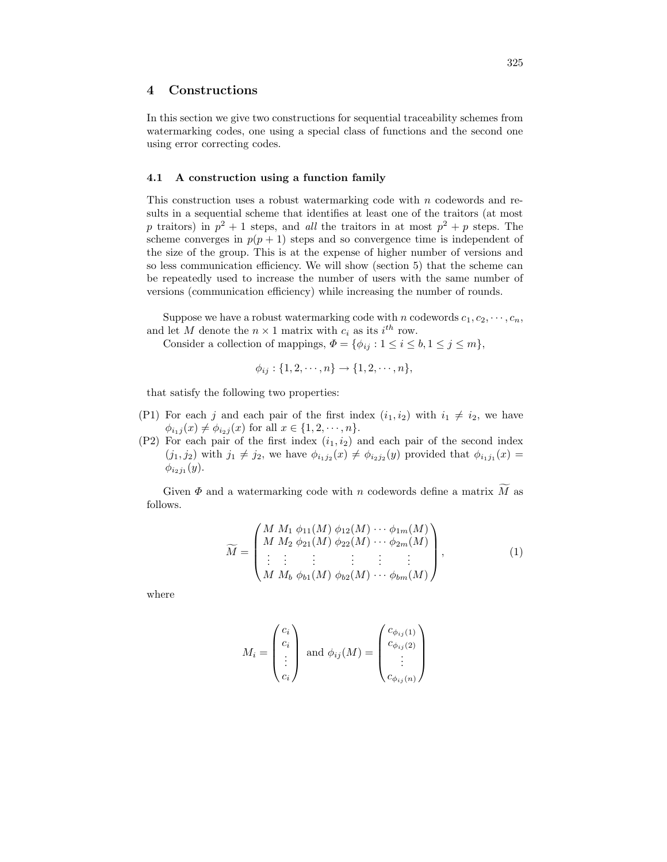# 4 Constructions

In this section we give two constructions for sequential traceability schemes from watermarking codes, one using a special class of functions and the second one using error correcting codes.

## 4.1 A construction using a function family

This construction uses a robust watermarking code with  $n$  codewords and results in a sequential scheme that identifies at least one of the traitors (at most p traitors) in  $p^2 + 1$  steps, and all the traitors in at most  $p^2 + p$  steps. The scheme converges in  $p(p + 1)$  steps and so convergence time is independent of the size of the group. This is at the expense of higher number of versions and so less communication efficiency. We will show (section 5) that the scheme can be repeatedly used to increase the number of users with the same number of versions (communication efficiency) while increasing the number of rounds.

Suppose we have a robust watermarking code with n codewords  $c_1, c_2, \dots, c_n$ , and let M denote the  $n \times 1$  matrix with  $c_i$  as its  $i^{th}$  row.

Consider a collection of mappings,  $\Phi = {\phi_{ij} : 1 \le i \le b, 1 \le j \le m}$ ,

$$
\phi_{ij}: \{1, 2, \cdots, n\} \to \{1, 2, \cdots, n\},\
$$

that satisfy the following two properties:

- (P1) For each j and each pair of the first index  $(i_1,i_2)$  with  $i_1 \neq i_2$ , we have  $\phi_{i_1j}(x) \neq \phi_{i_2j}(x)$  for all  $x \in \{1, 2, \dots, n\}.$
- (P2) For each pair of the first index  $(i_1,i_2)$  and each pair of the second index  $(j_1, j_2)$  with  $j_1 \neq j_2$ , we have  $\phi_{i_1j_2}(x) \neq \phi_{i_2j_2}(y)$  provided that  $\phi_{i_1j_1}(x) =$  $\phi_{i_2j_1}(y)$ .

Given  $\Phi$  and a watermarking code with n codewords define a matrix  $\tilde{M}$  as follows.

$$
\widetilde{M} = \begin{pmatrix} M M_1 \ \phi_{11}(M) \ \phi_{12}(M) \cdots \phi_{1m}(M) \\ M M_2 \ \phi_{21}(M) \ \phi_{22}(M) \cdots \phi_{2m}(M) \\ \vdots & \vdots & \vdots \\ M M_b \ \phi_{b1}(M) \ \phi_{b2}(M) \cdots \phi_{bm}(M) \end{pmatrix},
$$
\n(1)

where

$$
M_i = \begin{pmatrix} c_i \\ c_i \\ \vdots \\ c_i \end{pmatrix} \text{ and } \phi_{ij}(M) = \begin{pmatrix} c_{\phi_{ij}(1)} \\ c_{\phi_{ij}(2)} \\ \vdots \\ c_{\phi_{ij}(n)} \end{pmatrix}
$$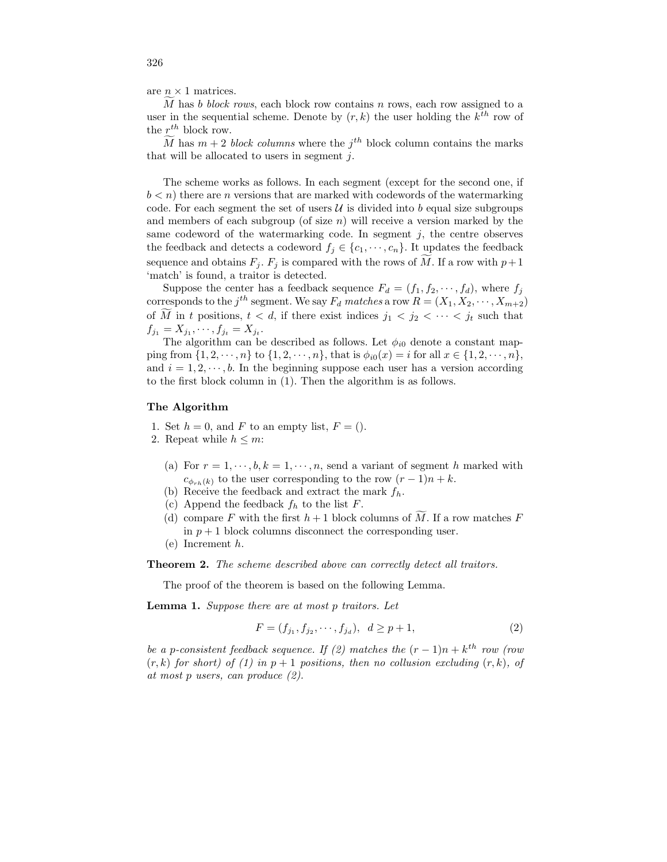are  $n \times 1$  matrices.

 $\overline{M}$  has b block rows, each block row contains n rows, each row assigned to a user in the sequential scheme. Denote by  $(r, k)$  the user holding the  $k^{th}$  row of the  $r^{th}$  block row.

 $\overline{M}$  has  $m + 2$  block columns where the j<sup>th</sup> block column contains the marks that will be allocated to users in segment  $j$ .

The scheme works as follows. In each segment (except for the second one, if  $b < n$ ) there are *n* versions that are marked with codewords of the watermarking code. For each segment the set of users  $\mathcal U$  is divided into b equal size subgroups and members of each subgroup (of size  $n$ ) will receive a version marked by the same codeword of the watermarking code. In segment  $j$ , the centre observes the feedback and detects a codeword  $f_i \in \{c_1, \dots, c_n\}$ . It updates the feedback sequence and obtains  $F_j$ .  $F_j$  is compared with the rows of M. If a row with  $p+1$ 'match' is found, a traitor is detected.

Suppose the center has a feedback sequence  $F_d = (f_1, f_2, \dots, f_d)$ , where  $f_i$ corresponds to the  $j^{th}$  segment. We say  $F_d$  matches a row  $R = (X_1, X_2, \cdots, X_{m+2})$ of  $\widetilde{M}$  in t positions,  $t < d$ , if there exist indices  $j_1 < j_2 < \cdots < j_t$  such that  $f_{j_1} = X_{j_1}, \cdots, f_{j_t} = X_{j_t}.$ 

The algorithm can be described as follows. Let  $\phi_{i0}$  denote a constant mapping from  $\{1, 2, \dots, n\}$  to  $\{1, 2, \dots, n\}$ , that is  $\phi_{i0}(x) = i$  for all  $x \in \{1, 2, \dots, n\}$ , and  $i = 1, 2, \dots, b$ . In the beginning suppose each user has a version according to the first block column in (1). Then the algorithm is as follows.

#### The Algorithm

- 1. Set  $h = 0$ , and F to an empty list,  $F = ()$ .
- 2. Repeat while  $h \leq m$ :
	- (a) For  $r = 1, \dots, b, k = 1, \dots, n$ , send a variant of segment h marked with  $c_{\phi_{rh}(k)}$  to the user corresponding to the row  $(r-1)n + k$ .
	- (b) Receive the feedback and extract the mark  $f_h$ .
	- (c) Append the feedback  $f_h$  to the list  $F$ .
	- (d) compare F with the first  $h+1$  block columns of  $\widetilde{M}$ . If a row matches F in  $p + 1$  block columns disconnect the corresponding user.
	- (e) Increment h.

**Theorem 2.** The scheme described above can correctly detect all traitors.

The proof of the theorem is based on the following Lemma.

Lemma 1. Suppose there are at most p traitors. Let

$$
F = (f_{j_1}, f_{j_2}, \cdots, f_{j_d}), \ d \ge p + 1,
$$
 (2)

be a p-consistent feedback sequence. If (2) matches the  $(r-1)n + k^{th}$  row (row  $(r, k)$  for short) of (1) in  $p + 1$  positions, then no collusion excluding  $(r, k)$ , of at most p users, can produce (2).

326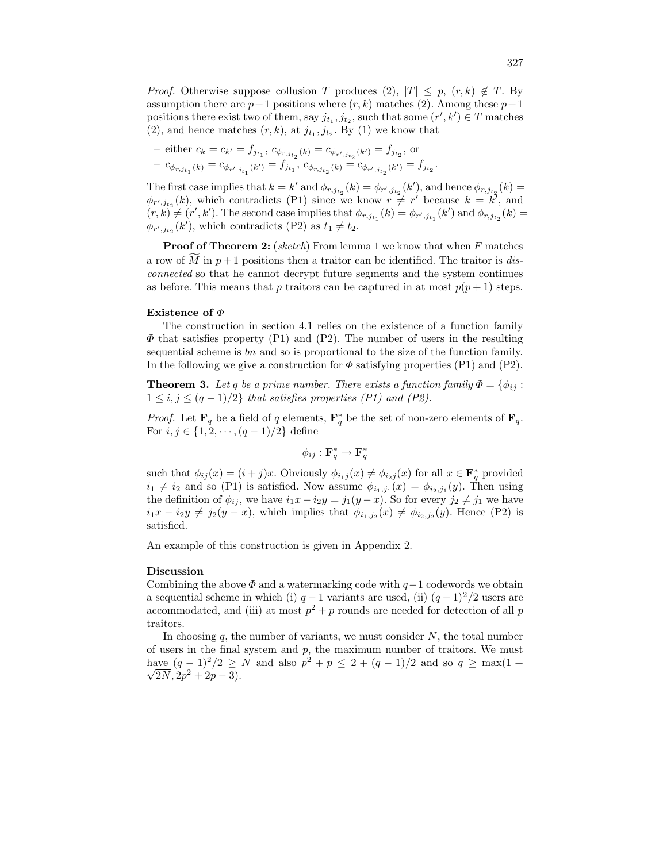*Proof.* Otherwise suppose collusion T produces (2),  $|T| \leq p$ ,  $(r, k) \notin T$ . By assumption there are  $p+1$  positions where  $(r, k)$  matches (2). Among these  $p+1$ positions there exist two of them, say  $j_{t_1}, j_{t_2}$ , such that some  $(r', k') \in T$  matches (2), and hence matches  $(r, k)$ , at  $j_{t_1}, j_{t_2}$ . By (1) we know that

- either 
$$
c_k = c_{k'} = f_{j_{t_1}}, c_{\phi_{r,j_{t_2}}(k)} = c_{\phi_{r',j_{t_2}}(k')} = f_{j_{t_2}},
$$
 or  
\n-  $c_{\phi_{r,j_{t_1}}(k)} = c_{\phi_{r',j_{t_1}}(k')} = f_{j_{t_1}}, c_{\phi_{r,j_{t_2}}(k)} = c_{\phi_{r',j_{t_2}}(k')} = f_{j_{t_2}}.$ 

The first case implies that  $k = k'$  and  $\phi_{r,j_{t_2}}(k) = \phi_{r',j_{t_2}}(k')$ , and hence  $\phi_{r,j_{t_2}}(k) =$  $\phi_{r',j_{t_2}}(k)$ , which contradicts (P1) since we know  $r \neq r'$  because  $k = k'$ , and  $(r, k) \neq (r', k')$ . The second case implies that  $\phi_{r,j_{t_1}}(k) = \phi_{r',j_{t_1}}(k')$  and  $\phi_{r,j_{t_2}}(k) =$  $\phi_{r',j_{t_2}}(k')$ , which contradicts (P2) as  $t_1 \neq t_2$ .

**Proof of Theorem 2:** (sketch) From lemma 1 we know that when  $F$  matches a row of M in  $p + 1$  positions then a traitor can be identified. The traitor is disconnected so that he cannot decrypt future segments and the system continues as before. This means that p traitors can be captured in at most  $p(p+1)$  steps.

#### Existence of Φ

The construction in section 4.1 relies on the existence of a function family  $\Phi$  that satisfies property (P1) and (P2). The number of users in the resulting sequential scheme is bn and so is proportional to the size of the function family. In the following we give a construction for  $\Phi$  satisfying properties (P1) and (P2).

**Theorem 3.** Let q be a prime number. There exists a function family  $\Phi = \{\phi_{ij} :$  $1 \leq i, j \leq (q-1)/2$  that satisfies properties (P1) and (P2).

*Proof.* Let  $\mathbf{F}_q$  be a field of q elements,  $\mathbf{F}_q^*$  be the set of non-zero elements of  $\mathbf{F}_q$ . For  $i, j \in \{1, 2, \dots, (q-1)/2\}$  define

$$
\phi_{ij}:\mathbf{F}_q^*\rightarrow \mathbf{F}_q^*
$$

such that  $\phi_{ij}(x) = (i+j)x$ . Obviously  $\phi_{i,j}(x) \neq \phi_{i,j}(x)$  for all  $x \in \mathbf{F}_q^*$  provided  $i_1 \neq i_2$  and so (P1) is satisfied. Now assume  $\phi_{i_1,j_1}(x) = \phi_{i_2,j_1}(y)$ . Then using the definition of  $\phi_{ij}$ , we have  $i_1x - i_2y = j_1(y - x)$ . So for every  $j_2 \neq j_1$  we have  $i_1x - i_2y \neq j_2(y - x)$ , which implies that  $\phi_{i_1, j_2}(x) \neq \phi_{i_2, j_2}(y)$ . Hence (P2) is satisfied.

An example of this construction is given in Appendix 2.

#### Discussion

Combining the above  $\Phi$  and a watermarking code with  $q-1$  codewords we obtain a sequential scheme in which (i)  $q-1$  variants are used, (ii)  $(q-1)^2/2$  users are accommodated, and (iii) at most  $p^2 + p$  rounds are needed for detection of all p traitors.

In choosing  $q$ , the number of variants, we must consider  $N$ , the total number of users in the final system and  $p$ , the maximum number of traitors. We must have  $(q-1)^2/2 \ge N$  and also  $p^2 + p \le 2 + (q-1)/2$  and so  $q \ge \max(1 +$  $\frac{\mu}{\sqrt{2N}}$ ,  $2p^2 + 2p - 3$ ).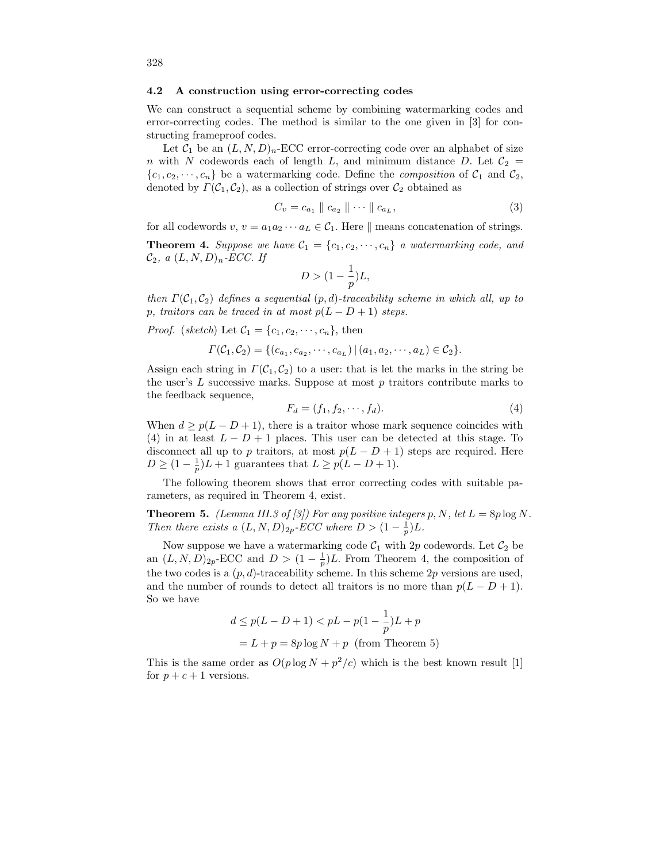#### 4.2 A construction using error-correcting codes

We can construct a sequential scheme by combining watermarking codes and error-correcting codes. The method is similar to the one given in [3] for constructing frameproof codes.

Let  $\mathcal{C}_1$  be an  $(L, N, D)_n$ -ECC error-correcting code over an alphabet of size n with N codewords each of length L, and minimum distance D. Let  $C_2$  =  ${c_1, c_2, \dots, c_n}$  be a watermarking code. Define the *composition* of  $C_1$  and  $C_2$ , denoted by  $\Gamma(\mathcal{C}_1, \mathcal{C}_2)$ , as a collection of strings over  $\mathcal{C}_2$  obtained as

$$
C_v = c_{a_1} || c_{a_2} || \cdots || c_{a_L}, \qquad (3)
$$

for all codewords  $v, v = a_1 a_2 \cdots a_L \in C_1$ . Here  $\parallel$  means concatenation of strings.

**Theorem 4.** Suppose we have  $C_1 = \{c_1, c_2, \dots, c_n\}$  a watermarking code, and  $\mathcal{C}_2$ , a  $(L, N, D)_n$ -ECC. If

$$
D > (1 - \frac{1}{p})L,
$$

then  $\Gamma(\mathcal{C}_1, \mathcal{C}_2)$  defines a sequential  $(p, d)$ -traceability scheme in which all, up to p, traitors can be traced in at most  $p(L - D + 1)$  steps.

*Proof.* (sketch) Let  $\mathcal{C}_1 = \{c_1, c_2, \cdots, c_n\}$ , then

$$
\Gamma(C_1, C_2) = \{(c_{a_1}, c_{a_2}, \cdots, c_{a_L}) \mid (a_1, a_2, \cdots, a_L) \in C_2\}.
$$

Assign each string in  $\Gamma(\mathcal{C}_1, \mathcal{C}_2)$  to a user: that is let the marks in the string be the user's  $L$  successive marks. Suppose at most  $p$  traitors contribute marks to the feedback sequence,

$$
F_d = (f_1, f_2, \cdots, f_d). \tag{4}
$$

When  $d \geq p(L - D + 1)$ , there is a traitor whose mark sequence coincides with (4) in at least  $L - D + 1$  places. This user can be detected at this stage. To disconnect all up to p traitors, at most  $p(L - D + 1)$  steps are required. Here  $D \geq (1 - \frac{1}{p})L + 1$  guarantees that  $L \geq p(L - D + 1)$ .

The following theorem shows that error correcting codes with suitable parameters, as required in Theorem 4, exist.

**Theorem 5.** (Lemma III.3 of [3]) For any positive integers p, N, let  $L = 8p \log N$ . Then there exists a  $(L, N, D)_{2p}$ -ECC where  $D > (1 - \frac{1}{p})L$ .

Now suppose we have a watermarking code  $\mathcal{C}_1$  with  $2p$  codewords. Let  $\mathcal{C}_2$  be an  $(L, N, D)_{2p}$ -ECC and  $D > (1 - \frac{1}{p})L$ . From Theorem 4, the composition of the two codes is a  $(p, d)$ -traceability scheme. In this scheme 2p versions are used, and the number of rounds to detect all traitors is no more than  $p(L - D + 1)$ . So we have

$$
d \le p(L - D + 1) < pL - p(1 - \frac{1}{p})L + p
$$
\n
$$
= L + p = 8p \log N + p \quad \text{(from Theorem 5)}
$$

This is the same order as  $O(p \log N + p^2/c)$  which is the best known result [1] for  $p + c + 1$  versions.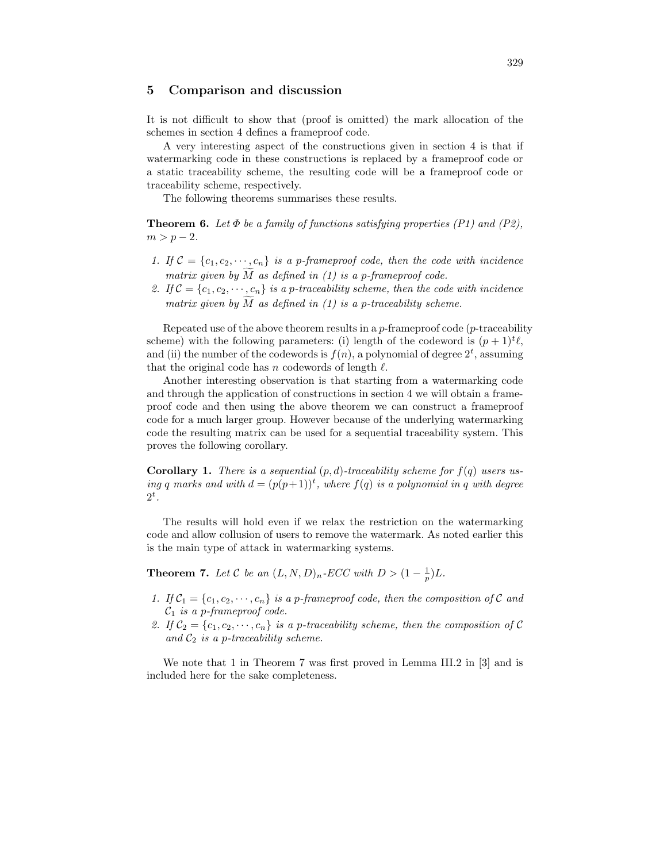## 5 Comparison and discussion

It is not difficult to show that (proof is omitted) the mark allocation of the schemes in section 4 defines a frameproof code.

A very interesting aspect of the constructions given in section 4 is that if watermarking code in these constructions is replaced by a frameproof code or a static traceability scheme, the resulting code will be a frameproof code or traceability scheme, respectively.

The following theorems summarises these results.

**Theorem 6.** Let  $\Phi$  be a family of functions satisfying properties (P1) and (P2),  $m > p - 2$ .

- 1. If  $C = \{c_1, c_2, \dots, c_n\}$  is a p-frame proof code, then the code with incidence matrix given by  $M$  as defined in  $(1)$  is a p-frameproof code.
- 2. If  $C = \{c_1, c_2, \dots, c_n\}$  is a p-traceability scheme, then the code with incidence matrix given by  $\overline{M}$  as defined in (1) is a p-traceability scheme.

Repeated use of the above theorem results in a  $p$ -frameproof code ( $p$ -traceability scheme) with the following parameters: (i) length of the codeword is  $(p+1)^t \ell$ , and (ii) the number of the codewords is  $f(n)$ , a polynomial of degree  $2^t$ , assuming that the original code has n codewords of length  $\ell$ .

Another interesting observation is that starting from a watermarking code and through the application of constructions in section 4 we will obtain a frameproof code and then using the above theorem we can construct a frameproof code for a much larger group. However because of the underlying watermarking code the resulting matrix can be used for a sequential traceability system. This proves the following corollary.

**Corollary 1.** There is a sequential  $(p, d)$ -traceability scheme for  $f(q)$  users using q marks and with  $d = (p(p+1))$ <sup>t</sup>, where  $f(q)$  is a polynomial in q with degree  $2^t$ .

The results will hold even if we relax the restriction on the watermarking code and allow collusion of users to remove the watermark. As noted earlier this is the main type of attack in watermarking systems.

**Theorem 7.** Let C be an  $(L, N, D)<sub>n</sub>$ -ECC with  $D > (1 - \frac{1}{p})L$ .

- 1. If  $C_1 = \{c_1, c_2, \dots, c_n\}$  is a p-frame proof code, then the composition of C and  $C_1$  is a p-frame proof code.
- 2. If  $C_2 = \{c_1, c_2, \dots, c_n\}$  is a p-traceability scheme, then the composition of C and  $C_2$  is a p-traceability scheme.

We note that 1 in Theorem 7 was first proved in Lemma III.2 in [3] and is included here for the sake completeness.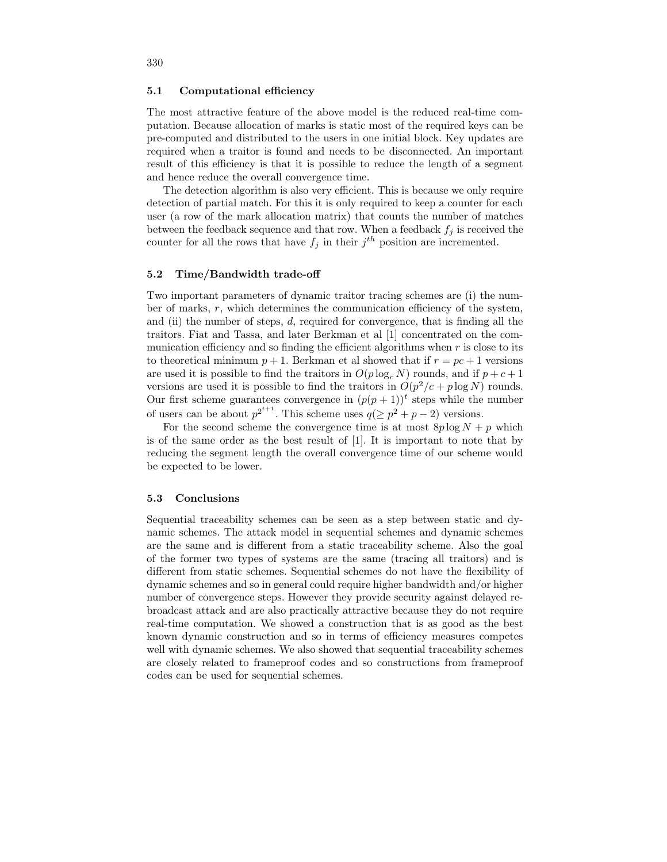#### 5.1 Computational efficiency

The most attractive feature of the above model is the reduced real-time computation. Because allocation of marks is static most of the required keys can be pre-computed and distributed to the users in one initial block. Key updates are required when a traitor is found and needs to be disconnected. An important result of this efficiency is that it is possible to reduce the length of a segment and hence reduce the overall convergence time.

The detection algorithm is also very efficient. This is because we only require detection of partial match. For this it is only required to keep a counter for each user (a row of the mark allocation matrix) that counts the number of matches between the feedback sequence and that row. When a feedback  $f_j$  is received the counter for all the rows that have  $f_j$  in their  $j^{th}$  position are incremented.

#### 5.2 Time/Bandwidth trade-off

Two important parameters of dynamic traitor tracing schemes are (i) the number of marks, r, which determines the communication efficiency of the system, and (ii) the number of steps,  $d$ , required for convergence, that is finding all the traitors. Fiat and Tassa, and later Berkman et al [1] concentrated on the communication efficiency and so finding the efficient algorithms when  $r$  is close to its to theoretical minimum  $p + 1$ . Berkman et al showed that if  $r = pc + 1$  versions are used it is possible to find the traitors in  $O(p \log_c N)$  rounds, and if  $p + c + 1$ versions are used it is possible to find the traitors in  $O(p^2/c + p \log N)$  rounds. Our first scheme guarantees convergence in  $(p(p+1))$ <sup>t</sup> steps while the number of users can be about  $p^{2^{t+1}}$ . This scheme uses  $q(\geq p^2 + p - 2)$  versions.

For the second scheme the convergence time is at most  $8p \log N + p$  which is of the same order as the best result of [1]. It is important to note that by reducing the segment length the overall convergence time of our scheme would be expected to be lower.

#### 5.3 Conclusions

Sequential traceability schemes can be seen as a step between static and dynamic schemes. The attack model in sequential schemes and dynamic schemes are the same and is different from a static traceability scheme. Also the goal of the former two types of systems are the same (tracing all traitors) and is different from static schemes. Sequential schemes do not have the flexibility of dynamic schemes and so in general could require higher bandwidth and/or higher number of convergence steps. However they provide security against delayed rebroadcast attack and are also practically attractive because they do not require real-time computation. We showed a construction that is as good as the best known dynamic construction and so in terms of efficiency measures competes well with dynamic schemes. We also showed that sequential traceability schemes are closely related to frameproof codes and so constructions from frameproof codes can be used for sequential schemes.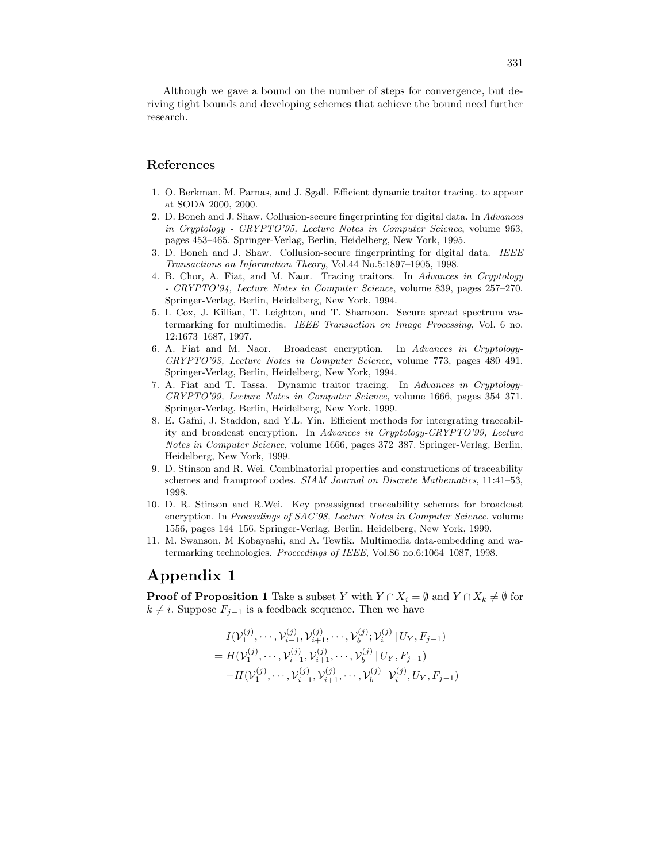Although we gave a bound on the number of steps for convergence, but deriving tight bounds and developing schemes that achieve the bound need further research.

# References

- 1. O. Berkman, M. Parnas, and J. Sgall. Efficient dynamic traitor tracing. to appear at SODA 2000, 2000.
- 2. D. Boneh and J. Shaw. Collusion-secure fingerprinting for digital data. In Advances in Cryptology - CRYPTO'95, Lecture Notes in Computer Science, volume 963, pages 453–465. Springer-Verlag, Berlin, Heidelberg, New York, 1995.
- 3. D. Boneh and J. Shaw. Collusion-secure fingerprinting for digital data. IEEE Transactions on Information Theory, Vol.44 No.5:1897–1905, 1998.
- 4. B. Chor, A. Fiat, and M. Naor. Tracing traitors. In Advances in Cryptology - CRYPTO'94, Lecture Notes in Computer Science, volume 839, pages 257–270. Springer-Verlag, Berlin, Heidelberg, New York, 1994.
- 5. I. Cox, J. Killian, T. Leighton, and T. Shamoon. Secure spread spectrum watermarking for multimedia. IEEE Transaction on Image Processing, Vol. 6 no. 12:1673–1687, 1997.
- 6. A. Fiat and M. Naor. Broadcast encryption. In Advances in Cryptology-CRYPTO'93, Lecture Notes in Computer Science, volume 773, pages 480–491. Springer-Verlag, Berlin, Heidelberg, New York, 1994.
- 7. A. Fiat and T. Tassa. Dynamic traitor tracing. In Advances in Cryptology-CRYPTO'99, Lecture Notes in Computer Science, volume 1666, pages 354–371. Springer-Verlag, Berlin, Heidelberg, New York, 1999.
- 8. E. Gafni, J. Staddon, and Y.L. Yin. Efficient methods for intergrating traceability and broadcast encryption. In Advances in Cryptology-CRYPTO'99, Lecture Notes in Computer Science, volume 1666, pages 372–387. Springer-Verlag, Berlin, Heidelberg, New York, 1999.
- 9. D. Stinson and R. Wei. Combinatorial properties and constructions of traceability schemes and framproof codes. SIAM Journal on Discrete Mathematics, 11:41–53, 1998.
- 10. D. R. Stinson and R.Wei. Key preassigned traceability schemes for broadcast encryption. In Proceedings of SAC'98, Lecture Notes in Computer Science, volume 1556, pages 144–156. Springer-Verlag, Berlin, Heidelberg, New York, 1999.
- 11. M. Swanson, M Kobayashi, and A. Tewfik. Multimedia data-embedding and watermarking technologies. Proceedings of IEEE, Vol.86 no.6:1064–1087, 1998.

# Appendix 1

**Proof of Proposition 1** Take a subset Y with  $Y \cap X_i = \emptyset$  and  $Y \cap X_k \neq \emptyset$  for  $k \neq i$ . Suppose  $F_{j-1}$  is a feedback sequence. Then we have

$$
I(\mathcal{V}_1^{(j)}, \cdots, \mathcal{V}_{i-1}^{(j)}, \mathcal{V}_{i+1}^{(j)}, \cdots, \mathcal{V}_b^{(j)}; \mathcal{V}_i^{(j)} | U_Y, F_{j-1})
$$
  
=  $H(\mathcal{V}_1^{(j)}, \cdots, \mathcal{V}_{i-1}^{(j)}, \mathcal{V}_{i+1}^{(j)}, \cdots, \mathcal{V}_b^{(j)} | U_Y, F_{j-1})$   
- $H(\mathcal{V}_1^{(j)}, \cdots, \mathcal{V}_{i-1}^{(j)}, \mathcal{V}_{i+1}^{(j)}, \cdots, \mathcal{V}_b^{(j)} | \mathcal{V}_i^{(j)}, U_Y, F_{j-1})$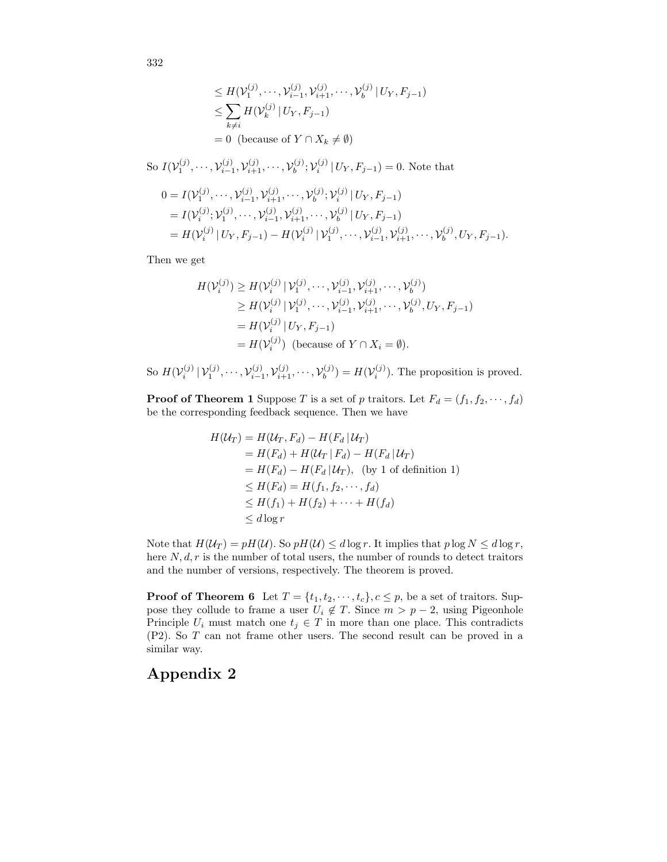$$
\leq H(\mathcal{V}_1^{(j)}, \cdots, \mathcal{V}_{i-1}^{(j)}, \mathcal{V}_{i+1}^{(j)}, \cdots, \mathcal{V}_b^{(j)} | U_Y, F_{j-1})
$$
  
\n
$$
\leq \sum_{k \neq i} H(\mathcal{V}_k^{(j)} | U_Y, F_{j-1})
$$
  
\n= 0 (because of  $Y \cap X_k \neq \emptyset$ )

So  $I(V_1^{(j)},\dots, V_{i-1}^{(j)}, V_{i+1}^{(j)},\dots, V_b^{(j)}$  $b_{b}^{(j)}; \mathcal{V}_{i}^{(j)} | U_{Y}, F_{j-1}) = 0.$  Note that  $0 = I(\mathcal{V}_1^{(j)}, \dots, \mathcal{V}_{i-1}^{(j)}, \mathcal{V}_{i+1}^{(j)}, \dots, \mathcal{V}_{b}^{(j)})$  $\mathcal{V}_b^{(j)}; \mathcal{V}_i^{(j)} \,|\, U_Y, F_{j-1})$  $= I(\mathcal{V}_i^{(j)}; \mathcal{V}_1^{(j)}, \cdots, \mathcal{V}_{i-1}^{(j)}, \mathcal{V}_{i+1}^{(j)}, \cdots, \mathcal{V}_{b}^{(j)})$  $|U_Y, F_{j-1}|$  $= H(\mathcal{V}_i^{(j)} | U_Y, F_{j-1}) - H(\mathcal{V}_i^{(j)} | \mathcal{V}_1^{(j)}, \cdots, \mathcal{V}_{i-1}^{(j)}, \mathcal{V}_{i+1}^{(j)}, \cdots, \mathcal{V}_b^{(j)})$  $b^{(J)}, U_Y, F_{j-1}).$ 

Then we get

$$
H(\mathcal{V}_i^{(j)}) \ge H(\mathcal{V}_i^{(j)} | \mathcal{V}_1^{(j)}, \dots, \mathcal{V}_{i-1}^{(j)}, \mathcal{V}_{i+1}^{(j)}, \dots, \mathcal{V}_b^{(j)})
$$
  
\n
$$
\ge H(\mathcal{V}_i^{(j)} | \mathcal{V}_1^{(j)}, \dots, \mathcal{V}_{i-1}^{(j)}, \mathcal{V}_{i+1}^{(j)}, \dots, \mathcal{V}_b^{(j)}, U_Y, F_{j-1})
$$
  
\n
$$
= H(\mathcal{V}_i^{(j)} | U_Y, F_{j-1})
$$
  
\n
$$
= H(\mathcal{V}_i^{(j)}) \text{ (because of } Y \cap X_i = \emptyset).
$$

So  $H(\mathcal{V}_i^{(j)} | \mathcal{V}_1^{(j)}, \cdots, \mathcal{V}_{i-1}^{(j)}, \mathcal{V}_{i+1}^{(j)}, \cdots, \mathcal{V}_{b}^{(j)})$  $b^{(j)}_b$  =  $H(\mathcal{V}_i^{(j)})$ . The proposition is proved.

**Proof of Theorem 1** Suppose T is a set of p traitors. Let  $F_d = (f_1, f_2, \dots, f_d)$ be the corresponding feedback sequence. Then we have

$$
H(\mathcal{U}_T) = H(\mathcal{U}_T, F_d) - H(F_d | \mathcal{U}_T)
$$
  
=  $H(F_d) + H(\mathcal{U}_T | F_d) - H(F_d | \mathcal{U}_T)$   
=  $H(F_d) - H(F_d | \mathcal{U}_T)$ , (by 1 of definition 1)  
 $\leq H(F_d) = H(f_1, f_2, \dots, f_d)$   
 $\leq H(f_1) + H(f_2) + \dots + H(f_d)$   
 $\leq d \log r$ 

Note that  $H(\mathcal{U}_T) = pH(\mathcal{U})$ . So  $pH(\mathcal{U}) \leq d \log r$ . It implies that  $p \log N \leq d \log r$ , here  $N, d, r$  is the number of total users, the number of rounds to detect traitors and the number of versions, respectively. The theorem is proved.

**Proof of Theorem 6** Let  $T = \{t_1, t_2, \dots, t_c\}, c \leq p$ , be a set of traitors. Suppose they collude to frame a user  $U_i \notin T$ . Since  $m > p - 2$ , using Pigeonhole Principle  $U_i$  must match one  $t_j \in T$  in more than one place. This contradicts (P2). So T can not frame other users. The second result can be proved in a similar way.

# Appendix 2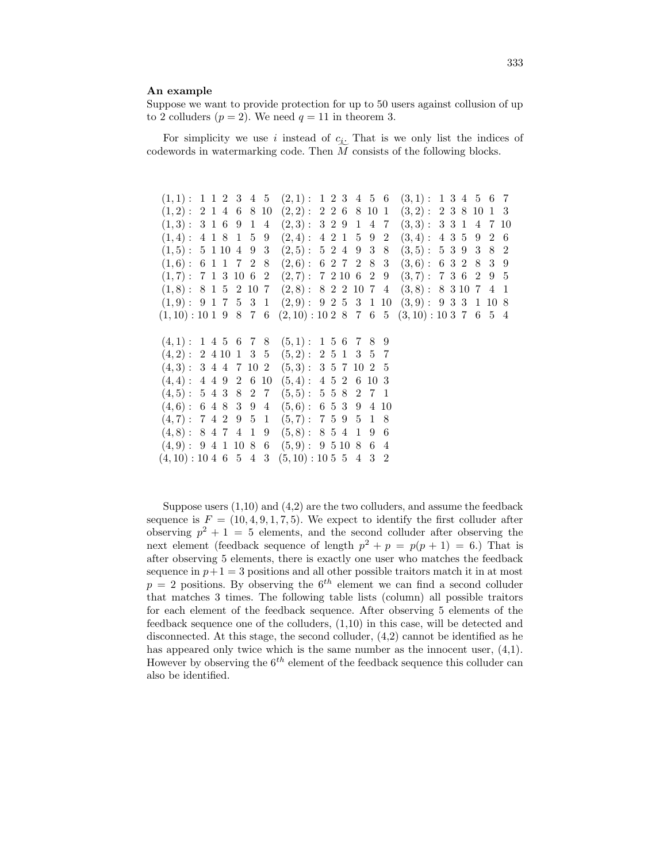#### An example

Suppose we want to provide protection for up to 50 users against collusion of up to 2 colluders  $(p = 2)$ . We need  $q = 11$  in theorem 3.

For simplicity we use i instead of  $c_i$ . That is we only list the indices of codewords in watermarking code. Then  $\tilde{M}$  consists of the following blocks.

```
(1, 1): 1 1 2 3 4 5
(1, 2): 2 1 4 6 8 10
(1, 3) : 3 1 6 9 1 4(1, 4) : 418159(1, 5) : 5110493(1, 6) : 6117728(1, 7): 7 1 3 10 6 2
(1, 8) : 8152107(1, 9) : 917531(1, 10): 1019876(2, 10): 1028765(2, 1) : 1 2 3 4 5 6(2, 2) : 2 \t2 \t6 \t8 \t10 \t1(2, 3) : 3 \t2 \t9 \t1 \t4 \t7(2, 4) : 421592(2, 5) : 524938(2, 6) : 627283(2, 7): 7 2 10 6 2 9
                    (2, 8) : 8221074(2, 9) : 92531110(3, 1) : 134567(3, 2): 2 3 8 10 1 3
                                         (3, 3) : 3 \; 3 \; 1 \; 4 \; 7 \; 10(3, 4) : 435926(3, 5) : 5393882(3, 6) : 632839(3, 7): 7 3 6 2 9 5
                                         (3, 8) : 8310741(3, 9) : 9 3 3 1 10 8
                                         (3, 10) : 10376654(4, 1): 1 4 5 6 7 8
(4, 2) : 24101335(4, 3) : 34447102(4, 4) : 4 4 9 2 6 10
(4, 5) : 543827(4, 6) : 648394(4, 7): 7 4 2 9 5 1
(4, 8) : 847419(4, 9) : 9 \; 4 \; 1 \; 10 \; 8 \; 6 \; (5, 9) : 9 \; 5 \; 10 \; 8 \; 6 \; 4(4, 10): 10\ 4\ 6\ 5\ 4\ 3\ (5, 10): 10\ 5\ 5\ 4\ 3\ 2(5, 1): 1 5 6 7 8 9
                    (5, 2) : 2513357(5, 3) : 3571025(5, 4) : 4526103(5, 5) : 558271(5, 6) : 6539410(5, 7) : 759518(5, 8) : 854196
```
Suppose users  $(1,10)$  and  $(4,2)$  are the two colluders, and assume the feedback sequence is  $F = (10, 4, 9, 1, 7, 5)$ . We expect to identify the first colluder after observing  $p^2 + 1 = 5$  elements, and the second colluder after observing the next element (feedback sequence of length  $p^2 + p = p(p + 1) = 6$ .) That is after observing 5 elements, there is exactly one user who matches the feedback sequence in  $p+1=3$  positions and all other possible traitors match it in at most  $p = 2$  positions. By observing the  $6<sup>th</sup>$  element we can find a second colluder that matches 3 times. The following table lists (column) all possible traitors for each element of the feedback sequence. After observing 5 elements of the feedback sequence one of the colluders, (1,10) in this case, will be detected and disconnected. At this stage, the second colluder, (4,2) cannot be identified as he has appeared only twice which is the same number as the innocent user,  $(4,1)$ . However by observing the  $6^{th}$  element of the feedback sequence this colluder can also be identified.